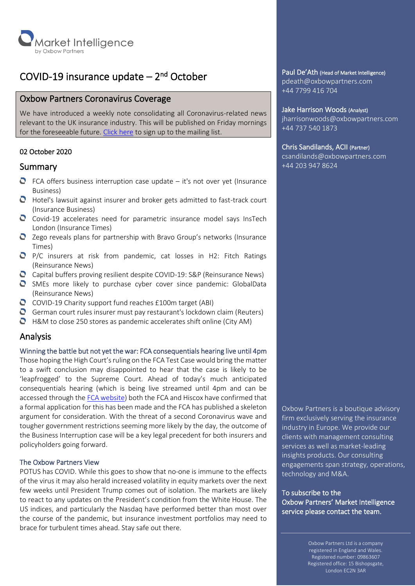

## COVID-19 insurance update – 2<sup>nd</sup> October

## Oxbow Partners Coronavirus Coverage

We have introduced a weekly note consolidating all Coronavirus-related news relevant to the UK insurance industry. This will be published on Friday mornings for the foreseeable future. [Click here](http://oxbowpartners-7474208.hs-sites.com/subscribe-to-market-intelligence) to sign up to the mailing list.

## 02 October 2020

### Summary

- $\bullet$  FCA offers business interruption case update it's not over yet (Insurance Business)
- Hotel's lawsuit against insurer and broker gets admitted to fast-track court (Insurance Business)
- Covid-19 accelerates need for parametric insurance model says InsTech London (Insurance Times)
- Zego reveals plans for partnership with Bravo Group's networks (Insurance Times)
- $\bullet$  P/C insurers at risk from pandemic, cat losses in H2: Fitch Ratings (Reinsurance News)
- $\bullet$  Capital buffers proving resilient despite COVID-19: S&P (Reinsurance News)
- SMEs more likely to purchase cyber cover since pandemic: GlobalData (Reinsurance News)
- $\bullet$  COVID-19 Charity support fund reaches £100m target (ABI)
- German court rules insurer must pay restaurant's lockdown claim (Reuters)
- $\bullet$  H&M to close 250 stores as pandemic accelerates shift online (City AM)

## Analysis

#### Winning the battle but not yet the war: FCA consequentials hearing live until 4pm

Those hoping the High Court's ruling on the FCA Test Case would bring the matter to a swift conclusion may disappointed to hear that the case is likely to be 'leapfrogged' to the Supreme Court. Ahead of today's much anticipated consequentials hearing (which is being live streamed until 4pm and can be accessed through the [FCA website\)](https://www.fca.org.uk/firms/business-interruption-insurance#revisions) both the FCA and Hiscox have confirmed that a formal application for this has been made and the FCA has published a skeleton argument for consideration. With the threat of a second Coronavirus wave and tougher government restrictions seeming more likely by the day, the outcome of the Business Interruption case will be a key legal precedent for both insurers and policyholders going forward.

#### The Oxbow Partners View

POTUS has COVID. While this goes to show that no-one is immune to the effects of the virus it may also herald increased volatility in equity markets over the next few weeks until President Trump comes out of isolation. The markets are likely to react to any updates on the President's condition from the White House. The US indices, and particularly the Nasdaq have performed better than most over the course of the pandemic, but insurance investment portfolios may need to brace for turbulent times ahead. Stay safe out there.

Paul De'Ath (Head of Market Intelligence)

pdeath@oxbowpartners.com +44 7799 416 704

#### Jake Harrison Woods (Analyst)

jharrisonwoods@oxbowpartners.com +44 737 540 1873

#### Chris Sandilands, ACII (Partner)

csandilands@oxbowpartners.com +44 203 947 8624

Oxbow Partners is a boutique advisory firm exclusively serving the insurance industry in Europe. We provide our clients with management consulting services as well as market-leading insights products. Our consulting engagements span strategy, operations, technology and M&A.

To subscribe to the Oxbow Partners' Market Intelligence service please contact the team.

> Oxbow Partners Ltd is a company registered in England and Wales. Registered number: 09863607 Registered office: 15 Bishopsgate, London EC2N 3AR

۰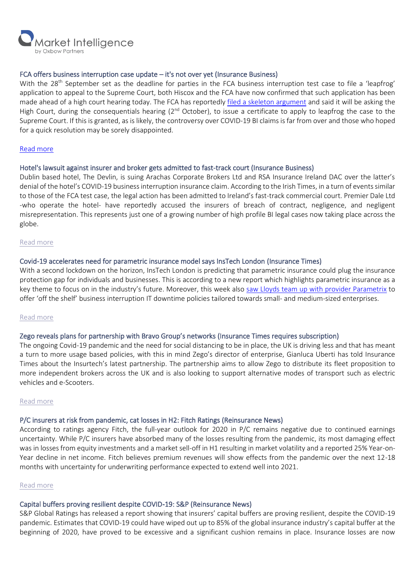

#### FCA offers business interruption case update – it's not over yet (Insurance Business)

With the 28<sup>th</sup> September set as the deadline for parties in the FCA business interruption test case to file a 'leapfrog' application to appeal to the Supreme Court, both Hiscox and the FCA have now confirmed that such application has been made ahead of a high court hearing today. The FCA has reportedly [filed a skeleton argument](https://www.fca.org.uk/news/press-releases/further-update-business-interruption-insurance-test-case-appeals-process) and said it will be asking the High Court, during the consequentials hearing (2<sup>nd</sup> October), to issue a certificate to apply to leapfrog the case to the Supreme Court. If this is granted, as is likely, the controversy over COVID-19 BI claims is far from over and those who hoped for a quick resolution may be sorely disappointed.

#### [Read more](https://www.insurancebusinessmag.com/uk/news/breaking-news/fca-offers-business-interruption-case-update--its-not-over-yet-234774.aspx)

#### Hotel's lawsuit against insurer and broker gets admitted to fast-track court (Insurance Business)

Dublin based hotel, The Devlin, is suing Arachas Corporate Brokers Ltd and RSA Insurance Ireland DAC over the latter's denial of the hotel's COVID-19 business interruption insurance claim. According to the Irish Times, in a turn of events similar to those of the FCA test case, the legal action has been admitted to Ireland's fast-track commercial court. Premier Dale Ltd -who operate the hotel- have reportedly accused the insurers of breach of contract, negligence, and negligent misrepresentation. This represents just one of a growing number of high profile BI legal cases now taking place across the globe.

#### [Read more](https://www.insurancebusinessmag.com/uk/news/hospitality/hotels-lawsuit-against-insurer-and-broker-gets-admitted-to-fasttrack-court-235005.aspx)

#### Covid-19 accelerates need for parametric insurance model says InsTech London (Insurance Times)

With a second lockdown on the horizon, InsTech London is predicting that parametric insurance could plug the insurance protection gap for individuals and businesses. This is according to a new report which highlights parametric insurance as a key theme to focus on in the industry's future. Moreover, this week also saw [Lloyds team up with provider Parametrix](https://www.insurancetimes.co.uk/news/lloyds-reveals-off-the-shelf-business-interruption-policy/1434774.article) to offer 'off the shelf' business interruption IT downtime policies tailored towards small- and medium-sized enterprises.

#### [Read more](https://www.insurancetimes.co.uk/news/covid-19-accelerates-need-for-parametric-insurance-model-says-instech-london/1434800.article)

#### Zego reveals plans for partnership with Bravo Group's networks (Insurance Times requires subscription)

The ongoing Covid-19 pandemic and the need for social distancing to be in place, the UK is driving less and that has meant a turn to more usage based policies, with this in mind Zego's director of enterprise, Gianluca Uberti has told Insurance Times about the Insurtech's latest partnership. The partnership aims to allow Zego to distribute its fleet proposition to more independent brokers across the UK and is also looking to support alternative modes of transport such as electric vehicles and e-Scooters.

#### [Read more](https://www.insurancetimes.co.uk/news/zego-reveals-plans-for-partnership-with-bravo-groups-networks/1434807.article)

#### P/C insurers at risk from pandemic, cat losses in H2: Fitch Ratings (Reinsurance News)

According to ratings agency Fitch, the full-year outlook for 2020 in P/C remains negative due to continued earnings uncertainty. While P/C insurers have absorbed many of the losses resulting from the pandemic, its most damaging effect was in losses from equity investments and a market sell-off in H1 resulting in market volatility and a reported 25% Year-on-Year decline in net income. Fitch believes premium revenues will show effects from the pandemic over the next 12-18 months with uncertainty for underwriting performance expected to extend well into 2021.

#### [Read more](https://www.reinsurancene.ws/p-c-insurers-at-risk-from-pandemic-cat-losses-in-h2-fitch-ratings/)

## Capital buffers proving resilient despite COVID-19: S&P (Reinsurance News)

S&P Global Ratings has released a report showing that insurers' capital buffers are proving resilient, despite the COVID-19 pandemic. Estimates that COVID-19 could have wiped out up to 85% of the global insurance industry's capital buffer at the beginning of 2020, have proved to be excessive and a significant cushion remains in place. Insurance losses are now